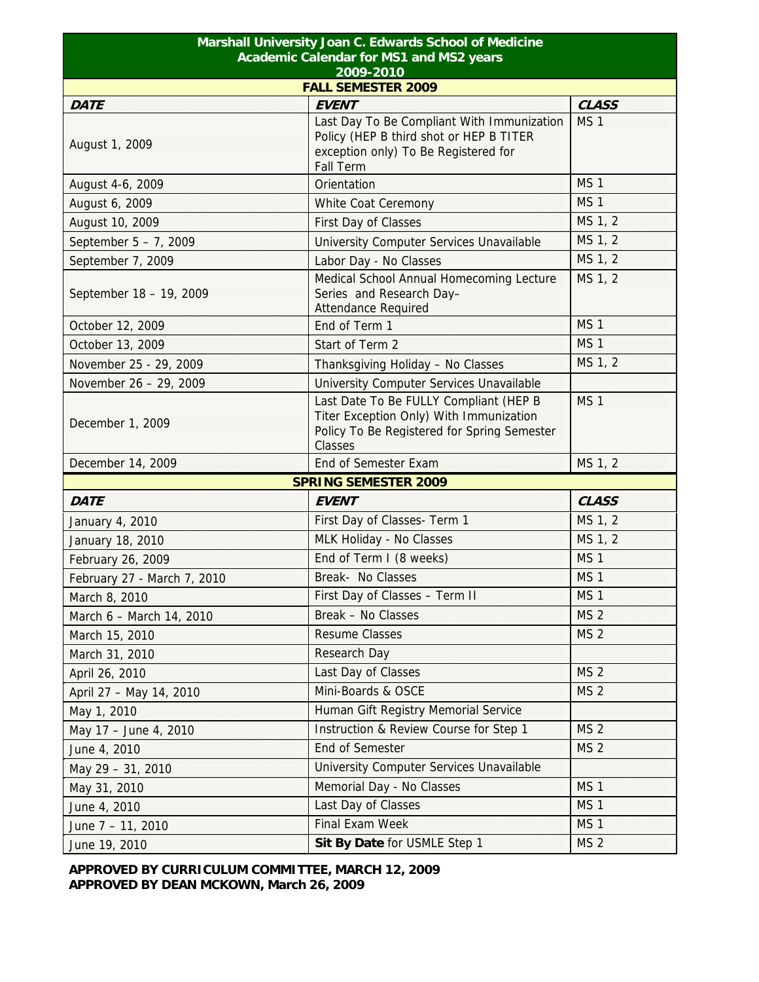| Marshall University Joan C. Edwards School of Medicine |                                                                                                                                                   |                 |  |  |
|--------------------------------------------------------|---------------------------------------------------------------------------------------------------------------------------------------------------|-----------------|--|--|
| Academic Calendar for MS1 and MS2 years                |                                                                                                                                                   |                 |  |  |
| 2009-2010<br><b>FALL SEMESTER 2009</b>                 |                                                                                                                                                   |                 |  |  |
| <b>DATE</b>                                            | <b>EVENT</b>                                                                                                                                      | <b>CLASS</b>    |  |  |
| August 1, 2009                                         | Last Day To Be Compliant With Immunization<br>Policy (HEP B third shot or HEP B TITER<br>exception only) To Be Registered for<br><b>Fall Term</b> | MS <sub>1</sub> |  |  |
| August 4-6, 2009                                       | Orientation                                                                                                                                       | MS <sub>1</sub> |  |  |
| August 6, 2009                                         | White Coat Ceremony                                                                                                                               | MS <sub>1</sub> |  |  |
| August 10, 2009                                        | First Day of Classes                                                                                                                              | MS 1, 2         |  |  |
| September 5 - 7, 2009                                  | University Computer Services Unavailable                                                                                                          | MS 1, 2         |  |  |
| September 7, 2009                                      | Labor Day - No Classes                                                                                                                            | MS 1, 2         |  |  |
| September 18 - 19, 2009                                | Medical School Annual Homecoming Lecture<br>Series and Research Day-<br><b>Attendance Required</b>                                                | MS 1, 2         |  |  |
| October 12, 2009                                       | End of Term 1                                                                                                                                     | MS <sub>1</sub> |  |  |
| October 13, 2009                                       | Start of Term 2                                                                                                                                   | MS <sub>1</sub> |  |  |
| November 25 - 29, 2009                                 | Thanksgiving Holiday - No Classes                                                                                                                 | MS 1, 2         |  |  |
| November 26 - 29, 2009                                 | University Computer Services Unavailable                                                                                                          |                 |  |  |
| December 1, 2009                                       | Last Date To Be FULLY Compliant (HEP B<br>Titer Exception Only) With Immunization<br>Policy To Be Registered for Spring Semester<br>Classes       | MS <sub>1</sub> |  |  |
| December 14, 2009                                      | End of Semester Exam                                                                                                                              | MS 1, 2         |  |  |
| <b>SPRING SEMESTER 2009</b>                            |                                                                                                                                                   |                 |  |  |
| <b>DATE</b>                                            | <b>EVENT</b>                                                                                                                                      | <b>CLASS</b>    |  |  |
| January 4, 2010                                        | First Day of Classes- Term 1                                                                                                                      | MS 1, 2         |  |  |
| January 18, 2010                                       | MLK Holiday - No Classes                                                                                                                          | MS 1, 2         |  |  |
| February 26, 2009                                      | End of Term I (8 weeks)                                                                                                                           | MS <sub>1</sub> |  |  |
| February 27 - March 7, 2010                            | Break- No Classes                                                                                                                                 | MS <sub>1</sub> |  |  |
| March 8, 2010                                          | First Day of Classes - Term II                                                                                                                    | MS <sub>1</sub> |  |  |
| March 6 - March 14, 2010                               | Break - No Classes                                                                                                                                | MS <sub>2</sub> |  |  |
| March 15, 2010                                         | <b>Resume Classes</b>                                                                                                                             | MS <sub>2</sub> |  |  |
| March 31, 2010                                         | Research Day                                                                                                                                      |                 |  |  |
| April 26, 2010                                         | Last Day of Classes                                                                                                                               | MS <sub>2</sub> |  |  |
| April 27 - May 14, 2010                                | Mini-Boards & OSCE                                                                                                                                | MS <sub>2</sub> |  |  |
| May 1, 2010                                            | Human Gift Registry Memorial Service                                                                                                              |                 |  |  |
| May 17 - June 4, 2010                                  | Instruction & Review Course for Step 1                                                                                                            | MS <sub>2</sub> |  |  |
| June 4, 2010                                           | <b>End of Semester</b>                                                                                                                            | MS <sub>2</sub> |  |  |
| May 29 - 31, 2010                                      | University Computer Services Unavailable                                                                                                          |                 |  |  |
| May 31, 2010                                           | Memorial Day - No Classes                                                                                                                         | MS <sub>1</sub> |  |  |
| June 4, 2010                                           | Last Day of Classes                                                                                                                               | MS <sub>1</sub> |  |  |
| June 7 - 11, 2010                                      | <b>Final Exam Week</b>                                                                                                                            | MS <sub>1</sub> |  |  |
| June 19, 2010                                          | Sit By Date for USMLE Step 1                                                                                                                      | MS <sub>2</sub> |  |  |

**APPROVED BY CURRICULUM COMMITTEE, MARCH 12, 2009 APPROVED BY DEAN MCKOWN, March 26, 2009**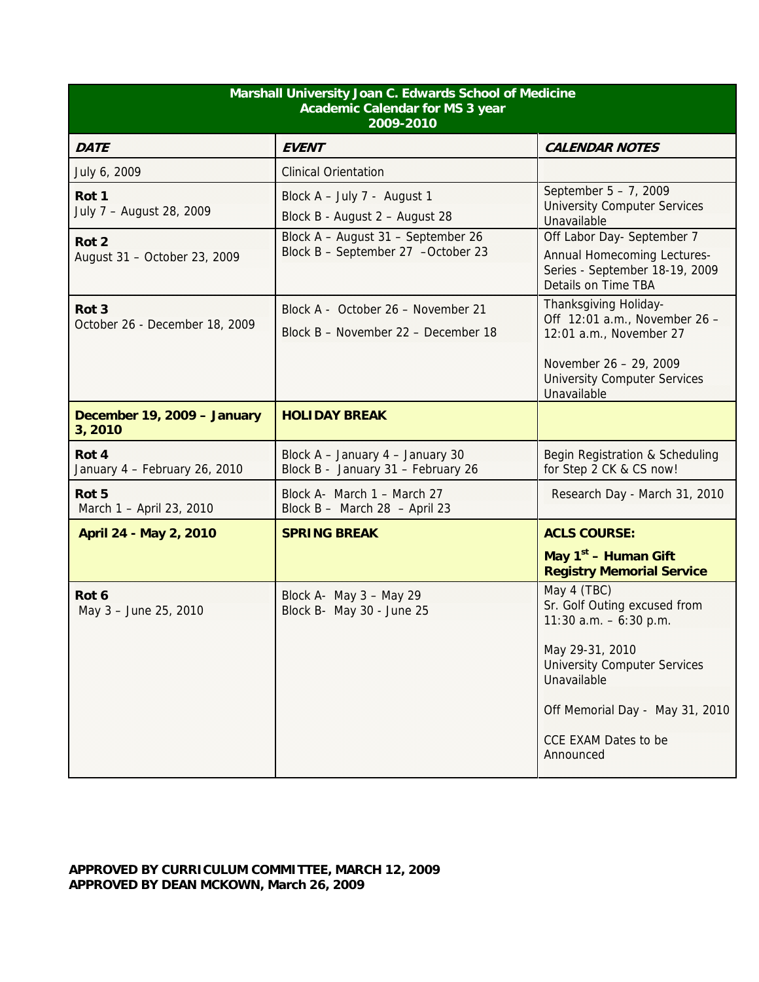| Marshall University Joan C. Edwards School of Medicine<br><b>Academic Calendar for MS 3 year</b><br>2009-2010 |                                                                           |                                                                                                                                                                                                                                 |
|---------------------------------------------------------------------------------------------------------------|---------------------------------------------------------------------------|---------------------------------------------------------------------------------------------------------------------------------------------------------------------------------------------------------------------------------|
| <b>DATE</b>                                                                                                   | <b>EVENT</b>                                                              | <b>CALENDAR NOTES</b>                                                                                                                                                                                                           |
| July 6, 2009                                                                                                  | <b>Clinical Orientation</b>                                               |                                                                                                                                                                                                                                 |
| Rot 1<br>July 7 - August 28, 2009                                                                             | Block A - July 7 - August 1<br>Block B - August 2 - August 28             | September 5 - 7, 2009<br><b>University Computer Services</b><br>Unavailable                                                                                                                                                     |
| Rot <sub>2</sub><br>August 31 - October 23, 2009                                                              | Block A - August 31 - September 26<br>Block B - September 27 -October 23  | Off Labor Day- September 7<br><b>Annual Homecoming Lectures-</b><br>Series - September 18-19, 2009<br>Details on Time TBA                                                                                                       |
| Rot <sub>3</sub><br>October 26 - December 18, 2009                                                            | Block A - October 26 - November 21<br>Block B - November 22 - December 18 | Thanksgiving Holiday-<br>Off 12:01 a.m., November 26 -<br>12:01 a.m., November 27<br>November 26 - 29, 2009<br><b>University Computer Services</b><br>Unavailable                                                               |
| December 19, 2009 - January<br>3,2010                                                                         | <b>HOLIDAY BREAK</b>                                                      |                                                                                                                                                                                                                                 |
| Rot 4<br>January 4 - February 26, 2010                                                                        | Block A - January 4 - January 30<br>Block B - January 31 - February 26    | Begin Registration & Scheduling<br>for Step 2 CK & CS now!                                                                                                                                                                      |
| Rot 5<br>March 1 - April 23, 2010                                                                             | Block A- March 1 - March 27<br>Block B - March 28 - April 23              | Research Day - March 31, 2010                                                                                                                                                                                                   |
| April 24 - May 2, 2010                                                                                        | <b>SPRING BREAK</b>                                                       | <b>ACLS COURSE:</b>                                                                                                                                                                                                             |
|                                                                                                               |                                                                           | May 1 <sup>st</sup> - Human Gift<br><b>Registry Memorial Service</b>                                                                                                                                                            |
| Rot 6<br>May 3 - June 25, 2010                                                                                | Block A- May 3 - May 29<br>Block B- May 30 - June 25                      | May 4 (TBC)<br>Sr. Golf Outing excused from<br>11:30 $a.m. - 6:30$ p.m.<br>May 29-31, 2010<br><b>University Computer Services</b><br>Unavailable<br>Off Memorial Day - May 31, 2010<br><b>CCE EXAM Dates to be</b><br>Announced |

## **APPROVED BY CURRICULUM COMMITTEE, MARCH 12, 2009 APPROVED BY DEAN MCKOWN, March 26, 2009**